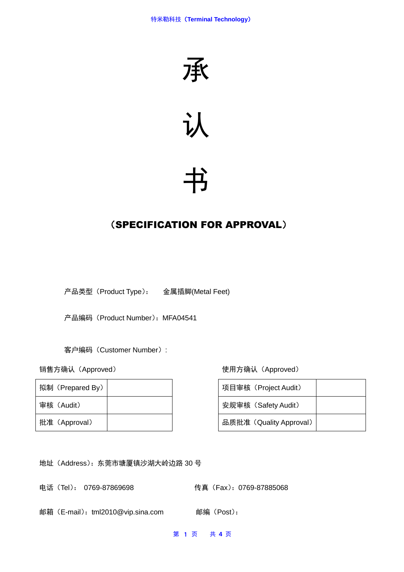



# 书

# (SPECIFICATION FOR APPROVAL)

产品类型(Product Type): 金属插脚(Metal Feet)

产品编码 (Product Number): MFA04541

客户编码(Customer Number):

| 拟制 (Prepared By) |  | 项目审核(Project Audit)     |
|------------------|--|-------------------------|
| 审核(Audit)        |  | 安规审核 (Safety Audit)     |
| 批准 (Approval)    |  | 品质批准 (Quality Approval) |

销售方确认(Approved) 使用方确认(Approved)

| 项目审核 (Project Audit)    |  |
|-------------------------|--|
| 安规审核 (Safety Audit)     |  |
| 品质批准 (Quality Approval) |  |

地址(Address):东莞市塘厦镇沙湖大岭边路 30 号

电话(Tel): 0769-87869698 传真(Fax):0769-87885068

邮箱(E-mail):tml2010@vip.sina.com 邮编(Post):

第 1 页 共 **4** 页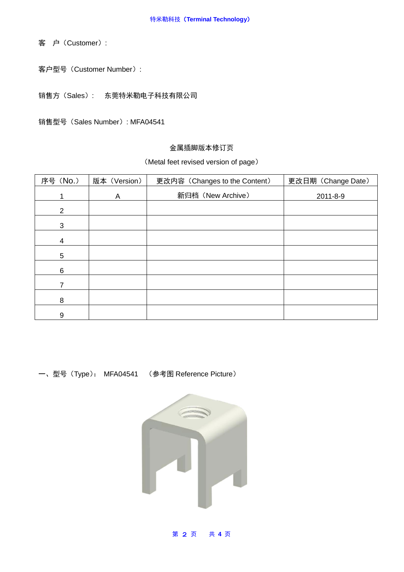客 户(Customer):

客户型号(Customer Number):

销售方(Sales): 东莞特米勒电子科技有限公司

销售型号(Sales Number): MFA04541

#### 金属插脚版本修订页

#### (Metal feet revised version of page)

| 序号 (No.)        | 版本 (Version) | 更改内容 (Changes to the Content) | 更改日期 (Change Date) |
|-----------------|--------------|-------------------------------|--------------------|
|                 | A            | 新归档 (New Archive)             | 2011-8-9           |
| $\overline{2}$  |              |                               |                    |
| 3               |              |                               |                    |
| 4               |              |                               |                    |
| $5\phantom{.0}$ |              |                               |                    |
| 6               |              |                               |                    |
| 7               |              |                               |                    |
| 8               |              |                               |                    |
| 9               |              |                               |                    |

一、型号(Type): MFA04541 (参考图 Reference Picture)



第 2 页 共 **4** 页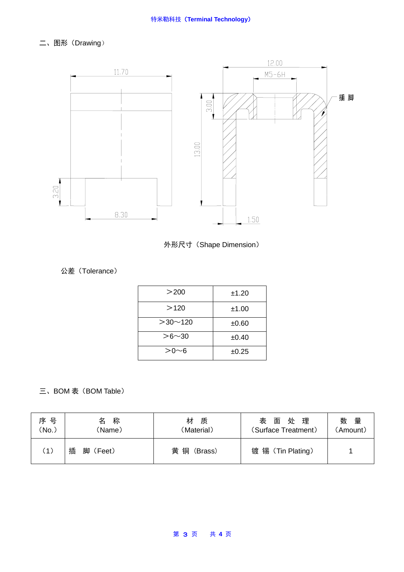二、图形(Drawing)





### 公差(Tolerance)

| >200          | ±1.20 |
|---------------|-------|
| >120          | ±1.00 |
| $>30$ ~ 120   | ±0.60 |
| $> 6 \sim 30$ | ±0.40 |
| >Ո∼ճ          | ±0.25 |

## 三、BOM 表 (BOM Table)

| 序 号<br>'No. | 称<br>名<br>(Name) | 材<br>质<br>(Material) | 处<br>理<br>面<br>表<br>(Surface Treatment) | 量<br>数<br>(Amount) |
|-------------|------------------|----------------------|-----------------------------------------|--------------------|
| (1)         | 插<br>脚<br>(Feet) | 黄铜<br>(Brass)        | 镀 锡 (Tin Plating)                       |                    |

#### 第 3 页 共 **4** 页